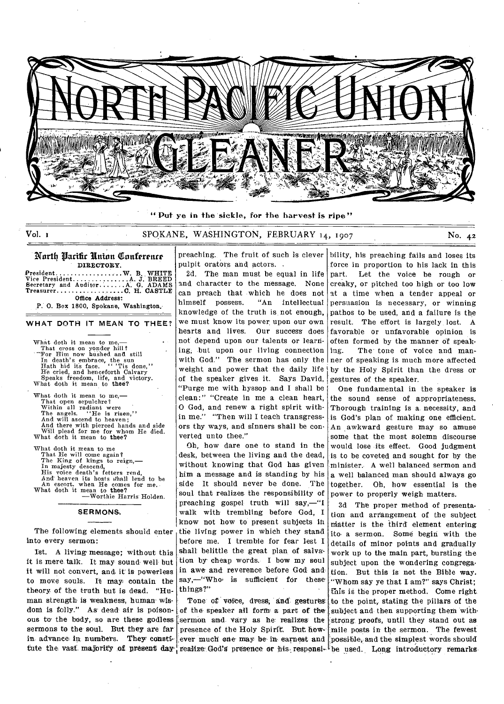

**". Put** ye in the sickle, for the harvest is ripe"

# Vol. 1 SPOKANE, WASHINGTON, FEBRUARY 14, 1907 No. 42

#### North Parific Union Conference DIRECTORY.

President W. B. WHITE<br>
.A. J. BREED<br>
.A. G. ADAMS Vice President Secretary and Auditor ....C. H. CASTLE Treasurer . . . . . . . Office Address:

P. 0. Box 1800, Spokane, Washington.

#### **WHAT DOTH IT MEAN TO THEE?**

What doth it mean to me That cross on yonder hill? -Tor Him now hushed and still In death's embrace, the sun Hath hid its face. " 'Tis done," Hath hid its face. "The done,"<br>He cried, and henceforth Calvary<br>Speaks freedom, life, and victory. Speaks freedom, life, and victory.<br>What doth it mean to thee? What doth it mean to me.

That open sepulchre? Within all radiant were The angels. "He is risen," And will ascend to heaven; And there with pierced hands and side Will plead for me for whom He died. What doth it mean to thee?

What doth it mean to me That He will come again ? The King of kings to reign,— In majesty descend, His voice death's fetters rend, And heaven its hosts shall lend to be An escort, when He comes for me. What doth it mean to thee?<br>
—Worthie Harris Holden.

#### **SERMONS.**

The following elements should enter into every sermon:

1st. A living message; without this it is mere talk. It may sound well but it will not convert, and. it is powerless to move souls. It may, contain the theory of the truth but is dead. "Human strength is weakness, human wisdom is folly." As dead air is poisonous to' the body, so are these godless sermons to the soul. But they are far in advance in numbers. They consti-

preaching. The fruit of such is clever pulpit orators and actors. .

2d. The man must be equal in life and character to the message. None can preach that which he does not himself possess. "An intellectual knowledge of the truth is not enough, we must know its power, upon our own hearts and lives. Our success does not depend upon our talents or learriing, but upon our living connection with God." The sermon has only the weight and power that the daily life of the speaker gives it. Says David, "Purge me with hyssop and I shall be clean:" "Create in me a clean heart, O God, and renew a right spirit within me." "Then will I teach transgressors thy ways, and sinners shall be converted unto thee."

Oh, how dare one to stand in the desk, between the living and the dead, without knowing that God has given him a message and is standing by his side It should never be done. The soul that realizes, the responsibility of preaching gospel truth will say,—"I walk with trembling before God, I know not how to present subjects in the living power in which they stand before me. I tremble for fear lest I shall belittle the great plan of salvation by cheap words. I bow my soul in awe. and reverence before God and. say,-"Who is sufficient for these things?"

Tone of voice, dress, and gestures. of the speaker all form' a part of the sermon and Vary as he realizes the presence of the Holy Spirit. But how ever much one may be in earnest and tute the vast majority of present day realize God's presence or his responsi- be used. Long introductory remarks

bility, his preaching fails and loses its force in proportion to his lack in this part. Let the voice be rough or creaky, or pitched too high or too low at a time when a tender appeal or persuasion is necessary, or winning pathos to be used, and a failure is the result. The effort is largely lost. A favorable or unfavorable opinion is often formed by the manner of speaking. The' tone of voice and manner of speaking is much more affected by the Holy Spirit than the dress or gestures of the speaker.

One fundamental in the speaker is the sound sense of appropriateness. Thorough training is a. necessity, and is God's plan of making one efficient. An awkward gesture may so amuse some that the most solemn discourse would lose its effect. Good judgment is to be coveted and sought for by the minister. A well balanced sermon and a well balanced man should always go together. Oh, how essential is the power to properly weigh matters.

3d The proper method of presentation and arrangement of the subject niatter is the third' element entering ito. a sermon. Some begin with the details of minor points and gradually work up to the main part, bursting the subject upon the wondering congregation. But this is not the Bible way. "Whom say ye that I am'?" says Christ; This is the proper method. Come right to the point, stating the pillars of the subject and then supporting them with strong proofs, until they stand out as mile posts in the sermon. The fewest possible, and the simplest words should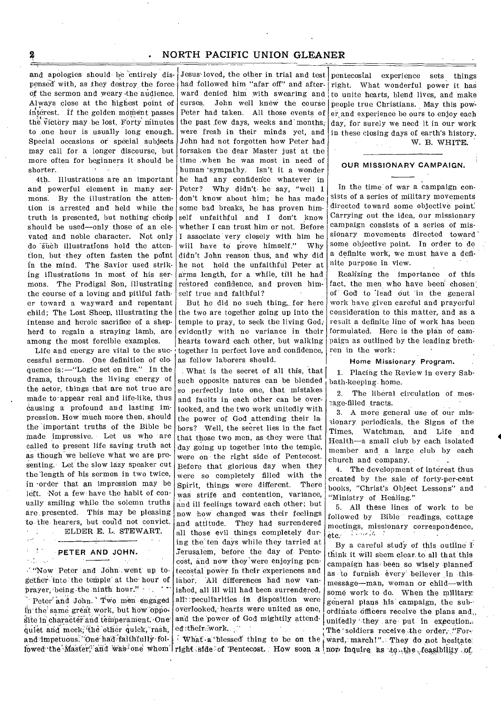# **2 . NORTH PACIFIC UNION GLEANER**

and apologies should he entirely dispensed' with, as they destroy, the force of the sermon and weary •the audience. Always close at the highest point of interest. If the golden moment passes the victory may be lost. Forty minutes to one hour is usually long enough. Special occasions or special subjects may call for a longer discourse, but more often for beginners it should be shorter.

4th. Illustrations are an important and powerful element in many sermons. By the illustration the attention is arrested and held while the truth is presented, but nothing cheap should be used—only those of an elevated and noble character. Not only do such illustrations hold the attention, but they often fasten the point in the mind. The Savior used striking illustrations in most of his sermons. The Prodigal Son, illustrating the course of a loving and pitiful father toward a wayward and repentant child; The Lost Sheep, illustrating the intense and heroic sacrifice of a shepherd to regain a straying lamb, are among the most forcible examples.

Life and energy are vital to the successful sermon. One definition of eloquence is:—"Logic set on fire." In the drama, through the living energy of the actor, things that are not true are made to•appear real and life-like, thus Causing a profound and lasting impression. How much more then, should the important truths of the Bible be made impressive. Let us who are called to present life saving truth act as though we believe what we are presenting. Let the slow lazy speaker cut the 'length of his sermon in two twice, in -order that an impression may be left. Not a few have the habit of conually smiling while the solemn truths are presented. This may be pleasing to the hearers, but could not convict. ELDER E. L. STEWART. ÷

### **PETER AND JOHN.**

 $\epsilon$  of  $\epsilon = \pm \pi$ rith as

"Now Peter and John went up together-into the temple at the' hour of prayer, being the ninth hour."

Peter' and John.' Two men engaged in'the same great work, but how opposite in character and temperament. One quiet and meek; the other quick, rash, and impetuous. "One had faithfully fol-

Jesus loved, the other in trial and test had followed him "afar off" and afterward denied him with swearing and curses. John well knew the course Peter had taken. All those events of the past few days, weeks and months, were fresh in their minds yet, and John had not forgotten how Peter had forsaken the dear Master just at the time .when he was most in need of human 'sympathy. Isn't it a wonder he had any confiderice whatever in Peter? Why didn't. he say, "well I don't know about him; he has made some had breaks, he has proven himself unfaithful and I don't know whether I can trust him or not. Before I associate very closely with him he will have to prove himself." Why didn't John reason thus, and why did he not hold the unfaithful Peter at arms length, for a while, till he had restored confidence, and proven himself true and faithful?

But he did no such thing, for here the two are together going up into the temple to pray, to seek the living God,' evidently with no variance in their hearts toward each other, but walking together in perfect love and confidence, as fellow laborers should.

What is the secret of all this, that such opposite natures can be blended so perfectly into one, that mistakes and faults in each other can be overlooked, and the two work unitedly with the power of God attending their la. hors? Well, the secret lies in the fact that those two men, as they were that day going up together into the temple, were on the right side of Pentecost. Before that glorious day when they were so completely filled with the Spirit, things were different. There was strife and contention, variance, and ill feelings toward each other; but now how changed was their feelings and attitude. They had surrendered all those evil things completely during the ten days while they tarried at Jerusalem, before the day of. Pentecost, and now they'were enjoying pentecostal power in their experiences and labor. All differences had now vanished, all ill will had been surrendered, all: peculiarities in disposition were overlooked,' hearts were united as one, and the 'power of God mightily attended:their, work.

What-a'blessed' thing to be on the

pentecostal experience sets things right. What wonderful power it has to unite hearts, blend lives, and make people true Christians. May this power and experience be ours to enjoy each day, for surely we need it in our work in these closing days of earth's history.

W. B. WHITE.

#### **OUR MISSIONARY CAMPAIGN.**

In the time of war a campaign consists of a series of military movements directed toward some objective point: Carrying out the idea, our missionary campaign consists of a series of missionary movements directed toward' some objective point. In order to do a definite work, we must have a definite purpose in view.

Realizing the importance of this fact, the men who have been chosen: of God to 'lead Out in the general work have given careful and prayerful consideration to this matter, and as a result a definite line of work has been formulated. Here is the plan of campaign as outlined by the leading brethren in the work:

### Home Missionary Program.

1. Placing the Review in every Sabbath-keeping. home.

2. The liberal circulation of mes sage-filled tracts.

3. A more general use of our missionary periodicals, the Signs of the Times, Watchman, and Life and Health—a small club by each isolated member and a large club by each church and company.

4. The development of interest thus created by the sale of forty-per-cent books, "Christ's Object Lessons" and "Ministry of Healing."

5. All these lines of work to be followed by Bible readings, cottage meetings, missionary correspondence,  $etc.$   $\rightarrow$   $\rightarrow$   $\rightarrow$   $\rightarrow$ 

lowed the Master, and was one whom right side of Pentecost. How soon a nor inquire as :to .the feasibility of By a careful study of this outline I think it will seem clear to all that this campaign has been so wisely planned as to furnish every believer in this message—man, woman or child—with some work to do. When the military: general plans his campaign, the sub-' ordinate officers receive the plans and unitedly they are put in execution.: The soldiers receive the order, "Forward, march!". They do not hesitate;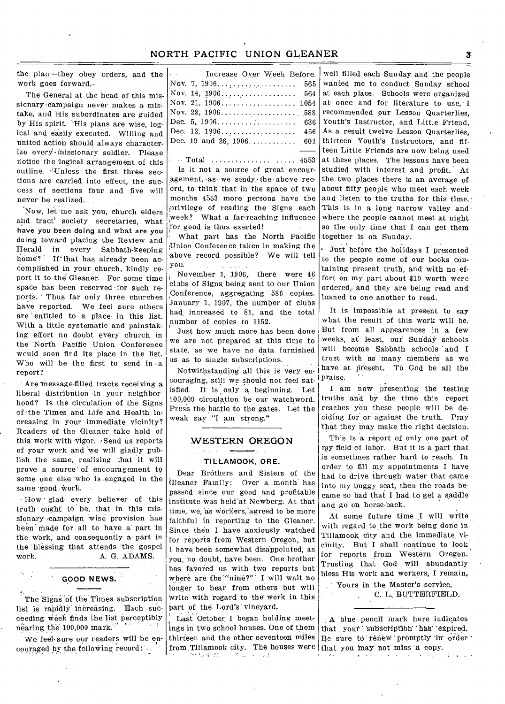the plan—they obey orders, and the work goes forward.-

The General at the head of this missionary •campaign never makes a mistake, and His subordinates are guided by His spirit. 'His plans are wise, logical and easily executed. Willing and united action should always characterize every missionary soldier. Please notice the 'logical arrangement of this outline.''Unless the first three sections are carried into effect, the success of sections four and five will never be realized.

'Now, let me ask you, church elders and tract' society secretaries, what have you been doing and what are you dcing toward placing the Review and Herald in every Sabbath-keeping home?' If'that has already been accomplished in your church, kindly report it to the Gleaner. For some time space has been reserved for such reports. Thus far only three churches have reported. We feel sure others are entitled to a place in this list. With a little systematic and painstaking effort no doubt every church in the North Pacific Union Conference would soon find its place in the list. Who will be the first to send in a report?

Are message-filled tracts receiving a liberal distribution in your neighborhood? Is the circulation of the Signs of the Times and Life and Health increasing in your immediate vicinity? Readers of the Gleaner take hold of this work with vigor. Send us reports of your work and we will gladly publish the same, realizing that it will prove a source of encouragement to some one else who is -engaged in the same good work.

How • glad every believer of this truth ought to be, that in this missionary campaign wise provision has been made for all to have a' part 'in the work, and consequently a part in the blessing that attends the gospel, work. A. G. ADAMS.

## **GOOD NEWS.**

 $\mathcal{C}^{\text{max}}_{\text{max}}$ 

 $\sim 10^{-1}$ 

The Signs 'of the' Times subscription list is rapidly increasing. Each succeeding Week finds the list perceptibly nearing the 100,000 mark.<sup> $n'$ </sup>

We feel sure our readers will be encouraged by the following record:

| Increase Over Week Before. |
|----------------------------|
|                            |
|                            |
| Nov. 21, 1906 1054         |
|                            |
| Dec. 5, 1906 636           |
|                            |
| Dec. 19 and 26, 1906 601   |
|                            |

Total 4553 Is it not a source of great encour $a$ gement,  $a$ s we study the above record, to think that in the space of two months 4553 more persons have the ;privilege of reading the Signs each week? What a.far-reaching influence ;for good is thus. exerted!

What part has the North Pacific 'Union Conference taken in making the above record possible? We will tell you. **Service** 

November 1, 1906, there were 46 clubs of Signs being sent to our Union Conference, aggregating 586 copies. .January 1, 1907, the number of clubs had, increased to 81, and the total number of copies to 1152.

Just how much more has been done we are not prepared at this time to state, as we have no data furnished us as to single subscriptions.

couraging, still we should not feel satisfied. It is only a beginning. Let 100,000 circulation be our watchword. Press the battle to the gates. Let the say "I am strong." weak Notwithstanding all this is very en-

## WESTERN OREGON

 $\mathbf{z}$  , and  $\mathbf{z}$  , and

#### **TILLAMOOK, ORE.**

Dear Brothers and Sisters of the Gleaner Family: Over a month has passed since our good and profitable institute was held-at Newberg. At that time, we, as workers, agreed to be more faithful in reporting to the Gleaner. Since then I have anxiously watched for reports from Western Oregon, but I have been somewhat disappointed, as you, no doubt, have been. One brother has favored us with two reports but where are the '"nine?" I will wait no longer to hear from others but will Write with regard to the work in this part of the Lord's' vineyard.

Last October I began holding meetings in two school houses. One of them thirteen and the other seventeen miles from Tillamook city. The houses were that you may not miss a copy.

well filled each Sunday and the people wanted me to conduct Sunday school at each place. Schools were organized at once and for literature to use, I recommended our Lesson Quarterlies, Youth's Instructor, and Little Friend. As a result twelve Lesson Quarterlies, thirteen Youth's Instructors, and fifteen Little Friends are now being used at these places. The lessons have been studied with interest and profit. At the two places there is an average of about fifty people who meet each week and listen to the truths for this time. This is in a long narrow valley and where the people cannot meet at night so the only time that I can get them together is on Sunday.

• Just before the holidays I presented to the people some of our books containing present truth, and with no effort on my part about \$10 worth were ordered; and they are being read and loaned to one another to read.

It is impossible at present to say what the result of this work will be. But from all appearences in a few weeks, at least, our Sunday schools will become Sabbath schools and I trust with as many members as we have at present. To God be all the praise.

I am now presenting the testing truths and by the time this report reaches you these people will be deciding for or against the truth. Pray that they may make the right decision.

This is a report of only one part of my field of labor. But it is a part that is sometimes rather hard to reach. In order to fill my appointments I have had to drive through water that came into my buggy seat, then the roads became so bad that I had to get a saddle and go on horse-back.

At some future time I will write with regard to the work being done in Tillamook, city and the immediate vicinity. But I shall continue to look . for reports from Western Oregon. Trusting that God will abundantly bless His work and workers, I remain,

Yours in the Master's service, C. L. BUTTERFIELD.

A blue pencil mark here indicates that your subscription has expired. Be sure to renew promptly in order